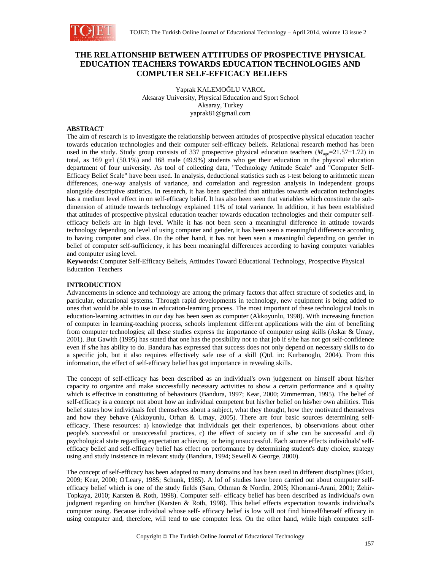

# **THE RELATIONSHIP BETWEEN ATTITUDES OF PROSPECTIVE PHYSICAL EDUCATION TEACHERS TOWARDS EDUCATION TECHNOLOGIES AND COMPUTER SELF-EFFICACY BELIEFS**

Yaprak KALEMOĞLU VAROL Aksaray University, Physical Education and Sport School Aksaray, Turkey yaprak81@gmail.com

## **ABSTRACT**

The aim of research is to investigate the relationship between attitudes of prospective physical education teacher towards education technologies and their computer self-efficacy beliefs. Relational research method has been used in the study. Study group consists of 337 prospective physical education teachers  $(M_{\text{ave}}=21.57\pm1.72)$  in total, as 169 girl (50.1%) and 168 male (49.9%) students who get their education in the physical education department of four university. As tool of collecting data, "Technology Attitude Scale" and "Computer Self-Efficacy Belief Scale" have been used. In analysis, deductional statistics such as t-test belong to arithmetic mean differences, one-way analysis of variance, and correlation and regression analysis in independent groups alongside descriptive statistics. In research, it has been specified that attitudes towards education technologies has a medium level effect in on self-efficacy belief. It has also been seen that variables which constitute the subdimension of attitude towards technology explained 11% of total variance. In addition, it has been established that attitudes of prospective physical education teacher towards education technologies and their computer selfefficacy beliefs are in high level. While it has not been seen a meaningful difference in attitude towards technology depending on level of using computer and gender, it has been seen a meaningful difference according to having computer and class. On the other hand, it has not been seen a meaningful depending on gender in belief of computer self-sufficiency, it has been meaningful differences according to having computer variables and computer using level.

**Keywords:** Computer Self-Efficacy Beliefs, Attitudes Toward Educational Technology, Prospective Physical Education Teachers

### **INTRODUCTION**

Advancements in science and technology are among the primary factors that affect structure of societies and, in particular, educational systems. Through rapid developments in technology, new equipment is being added to ones that would be able to use in education-learning process. The most important of these technological tools in education-learning activities in our day has been seen as computer (Akkoyunlu, 1998). With increasing function of computer in learning-teaching process, schools implement different applications with the aim of benefiting from computer technologies; all these studies express the importance of computer using skills (Askar & Umay, 2001). But Gawith (1995) has stated that one has the possibility not to that job if s/he has not got self-confidence even if s/he has ability to do. Bandura has expressed that success does not only depend on necessary skills to do a specific job, but it also requires effectively safe use of a skill (Qtd. in: Kurbanoglu, 2004). From this information, the effect of self-efficacy belief has got importance in revealing skills.

The concept of self-efficacy has been described as an individual's own judgement on himself about his/her capacity to organize and make successfully necessary activities to show a certain performance and a quality which is effective in constituting of behaviours (Bandura, 1997; Kear, 2000; Zimmerman, 1995). The belief of self-efficacy is a concept not about how an individual competent but his/her belief on his/her own abilities. This belief states how individuals feel themselves about a subject, what they thought, how they motivated themselves and how they behave (Akkoyunlu, Orhan & Umay, 2005). There are four basic sources determining selfefficacy. These resources: a) knowledge that individuals get their experiences, b) observations about other people's successful or unsuccessful practices, c) the effect of society on if s/he can be successful and d) psychological state regarding expectation achieving or being unsuccessful. Each source effects individuals' selfefficacy belief and self-efficacy belief has effect on performance by determining student's duty choice, strategy using and study insistence in relevant study (Bandura, 1994; Sewell & George, 2000).

The concept of self-efficacy has been adapted to many domains and has been used in different disciplines (Ekici, 2009; Kear, 2000; O'Leary, 1985; Schunk, 1985). A lof of studies have been carried out about computer selfefficacy belief which is one of the study fields (Sam, Othman & Nordin, 2005; Khorrami-Arani, 2001; Zehir-Topkaya, 2010; Karsten & Roth, 1998). Computer self- efficacy belief has been described as individual's own judgment regarding on him/her (Karsten & Roth, 1998). This belief effects expectation towards individual's computer using. Because individual whose self- efficacy belief is low will not find himself/herself efficacy in using computer and, therefore, will tend to use computer less. On the other hand, while high computer self-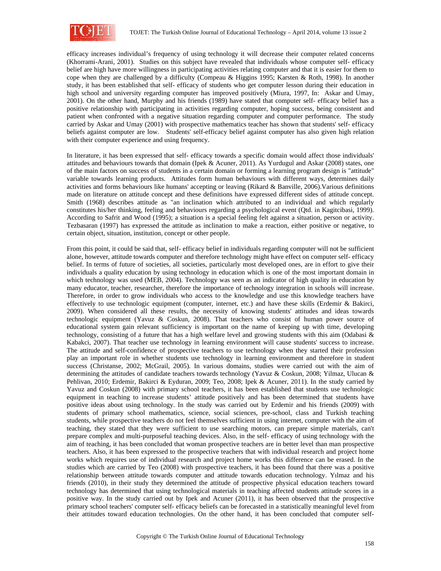

efficacy increases individual's frequency of using technology it will decrease their computer related concerns (Khorrami-Arani, 2001). Studies on this subject have revealed that individuals whose computer self- efficacy belief are high have more willingness in participating activities relating computer and that it is easier for them to cope when they are challenged by a difficulty (Compeau & Higgins 1995; Karsten & Roth, 1998). In another study, it has been established that self- efficacy of students who get computer lesson during their education in high school and university regarding computer has improved positively (Miura, 1997, In: Askar and Umay, 2001). On the other hand, Murphy and his friends (1989) have stated that computer self- efficacy belief has a positive relationship with participating in activities regarding computer, hoping success, being consistent and patient when confronted with a negative situation regarding computer and computer performance. The study carried by Askar and Umay (2001) with prospective mathematics teacher has shown that students' self- efficacy beliefs against computer are low. Students' self-efficacy belief against computer has also given high relation with their computer experience and using frequency.

In literature, it has been expressed that self- efficacy towards a specific domain would affect those individuals' attitudes and behaviours towards that domain (Ipek & Acuner, 2011). As Yurdugul and Askar (2008) states, one of the main factors on success of students in a certain domain or forming a learning program design is "attitude" variable towards learning products. Attitudes form human behaviours with different ways, determines daily activities and forms behaviours like humans' accepting or leaving (Rikard & Banville, 2006).Various definitions made on literature on attitude concept and these definitions have expressed different sides of attitude concept. Smith (1968) describes attitude as "an inclination which attributed to an individual and which regularly constitutes his/her thinking, feeling and behaviours regarding a psychological event (Qtd. in Kagitcibasi, 1999). According to Safrit and Wood (1995); a situation is a special feeling felt against a situation, person or activity. Tezbasaran (1997) has expressed the attitude as inclination to make a reaction, either positive or negative, to certain object, situation, institution, concept or other people.

From this point, it could be said that, self- efficacy belief in individuals regarding computer will not be sufficient alone, however, attitude towards computer and therefore technology might have effect on computer self- efficacy belief. In terms of future of societies, all societies, particularly most developed ones, are in effort to give their individuals a quality education by using technology in education which is one of the most important domain in which technology was used (MEB, 2004). Technology was seen as an indicator of high quality in education by many educator, teacher, researcher, therefore the importance of technology integration in schools will increase. Therefore, in order to grow individuals who access to the knowledge and use this knowledge teachers have effectively to use technologic equipment (computer, internet, etc.) and have these skills (Erdemir & Bakirci, 2009). When considered all these results, the necessity of knowing students' attitudes and ideas towards technologic equipment (Yavuz & Coskun, 2008). That teachers who consist of human power source of educational system gain relevant sufficiency is important on the name of keeping up with time, developing technology, consisting of a future that has a high welfare level and growing students with this aim (Odabasi  $\&$ Kabakci, 2007). That teacher use technology in learning environment will cause students' success to increase. The attitude and self-confidence of prospective teachers to use technology when they started their profession play an important role in whether students use technology in learning environment and therefore in student success (Christanse, 2002; McGrail, 2005). In various domains, studies were carried out with the aim of determining the attitudes of candidate teachers towards technology (Yavuz & Coskun, 2008; Yilmaz, Ulucan & Pehlivan, 2010; Erdemir, Bakirci & Eyduran, 2009; Teo, 2008; Ipek & Acuner, 2011). In the study carried by Yavuz and Coskun (2008) with primary school teachers, it has been established that students use technologic equipment in teaching to increase students' attitude positively and has been determined that students have positive ideas about using technology. In the study was carried out by Erdemir and his friends (2009) with students of primary school mathematics, science, social sciences, pre-school, class and Turkish teaching students, while prospective teachers do not feel themselves sufficient in using internet, computer with the aim of teaching, they stated that they were sufficient to use searching motors, can prepare simple materials, can't prepare complex and multi-purposeful teaching devices. Also, in the self- efficacy of using technology with the aim of teaching, it has been concluded that woman prospective teachers are in better level than man prospective teachers. Also, it has been expressed to the prospective teachers that with individual research and project home works which requires use of individual research and project home works this difference can be erased. In the studies which are carried by Teo (2008) with prospective teachers, it has been found that there was a positive relationship between attitude towards computer and attitude towards education technology. Yılmaz and his friends (2010), in their study they determined the attitude of prospective physical education teachers toward technology has determined that using technological materials in teaching affected students attitude scores in a positive way. In the study carried out by Ipek and Acuner (2011), it has been observed that the prospective primary school teachers' computer self- efficacy beliefs can be forecasted in a statistically meaningful level from their attitudes toward education technologies. On the other hand, it has been concluded that computer self-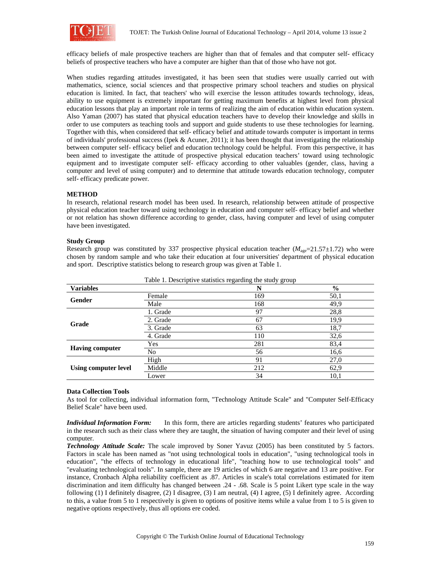

efficacy beliefs of male prospective teachers are higher than that of females and that computer self- efficacy beliefs of prospective teachers who have a computer are higher than that of those who have not got.

When studies regarding attitudes investigated, it has been seen that studies were usually carried out with mathematics, science, social sciences and that prospective primary school teachers and studies on physical education is limited. In fact, that teachers' who will exercise the lesson attitudes towards technology, ideas, ability to use equipment is extremely important for getting maximum benefits at highest level from physical education lessons that play an important role in terms of realizing the aim of education within education system. Also Yaman (2007) has stated that physical education teachers have to develop their knowledge and skills in order to use computers as teaching tools and support and guide students to use these technologies for learning. Together with this, when considered that self- efficacy belief and attitude towards computer is important in terms of individuals' professional success (Ipek & Acuner, 2011); it has been thought that investigating the relationship between computer self- efficacy belief and education technology could be helpful. From this perspective, it has been aimed to investigate the attitude of prospective physical education teachers' toward using technologic equipment and to investigate computer self- efficacy according to other valuables (gender, class, having a computer and level of using computer) and to determine that attitude towards education technology, computer self- efficacy predicate power.

### **METHOD**

In research, relational research model has been used. In research, relationship between attitude of prospective physical education teacher toward using technology in education and computer self- efficacy belief and whether or not relation has shown difference according to gender, class, having computer and level of using computer have been investigated.

### **Study Group**

Research group was constituted by 337 prospective physical education teacher  $(M_{\text{age}}=21.57\pm1.72)$  who were chosen by random sample and who take their education at four universities' department of physical education and sport. Descriptive statistics belong to research group was given at Table 1.

|                                           |          | Table 1. Descriptive statistics regarding the study group |               |
|-------------------------------------------|----------|-----------------------------------------------------------|---------------|
| <b>Variables</b>                          |          | N                                                         | $\frac{0}{0}$ |
|                                           | Female   | 169                                                       | 50,1          |
| Gender                                    | Male     | 168                                                       | 49,9          |
|                                           | 1. Grade | 97                                                        | 28,8          |
| 2. Grade<br>Grade<br>3. Grade<br>4. Grade | 67       | 19,9                                                      |               |
|                                           |          | 63                                                        | 18,7          |
|                                           | 110      | 32,6                                                      |               |
|                                           | Yes      | 281                                                       | 83,4          |
| <b>Having computer</b>                    | No       | 56                                                        | 16,6          |
|                                           | High     | 91                                                        | 27,0          |
| Using computer level                      | Middle   | 212                                                       | 62,9          |
|                                           | Lower    | 34                                                        | 10,1          |

Table 1. Descriptive statistics regarding the study group

### **Data Collection Tools**

As tool for collecting, individual information form, "Technology Attitude Scale" and "Computer Self-Efficacy Belief Scale" have been used.

*Individual Information Form:* In this form, there are articles regarding students' features who participated in the research such as their class where they are taught, the situation of having computer and their level of using computer.

*Technology Attitude Scale:* The scale improved by Soner Yavuz (2005) has been constituted by 5 factors. Factors in scale has been named as "not using technological tools in education", "using technological tools in education", "the effects of technology in educational life", "teaching how to use technological tools" and "evaluating technological tools". In sample, there are 19 articles of which 6 are negative and 13 are positive. For instance, Cronbach Alpha reliability coefficient as .87. Articles in scale's total correlations estimated for item discrimination and item difficulty has changed between .24 - .68. Scale is 5 point Likert type scale in the way following (1) I definitely disagree, (2) I disagree, (3) I am neutral, (4) I agree, (5) I definitely agree. According to this, a value from 5 to 1 respectively is given to options of positive items while a value from 1 to 5 is given to negative options respectively, thus all options ere coded.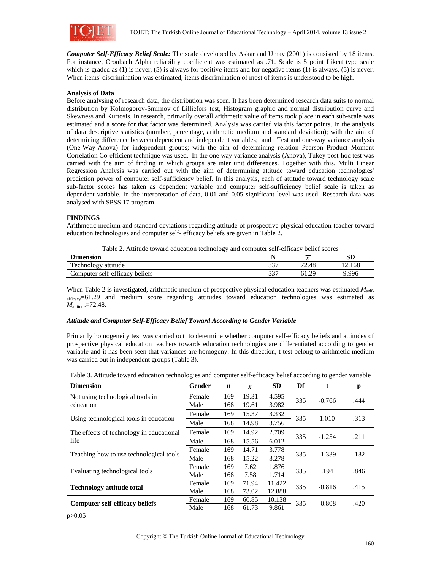

*Computer Self-Efficacy Belief Scale:* The scale developed by Askar and Umay (2001) is consisted by 18 items. For instance, Cronbach Alpha reliability coefficient was estimated as .71. Scale is 5 point Likert type scale which is graded as (1) is never, (5) is always for positive items and for negative items (1) is always, (5) is never. When items' discrimination was estimated, items discrimination of most of items is understood to be high.

### **Analysis of Data**

Before analysing of research data, the distribution was seen. It has been determined research data suits to normal distribution by Kolmogorov-Smirnov of Lilliefors test, Histogram graphic and normal distribution curve and Skewness and Kurtosis. In research, primarily overall arithmetic value of items took place in each sub-scale was estimated and a score for that factor was determined. Analysis was carried via this factor points. In the analysis of data descriptive statistics (number, percentage, arithmetic medium and standard deviation); with the aim of determining difference between dependent and independent variables; and t Test and one-way variance analysis (One-Way-Anova) for independent groups; with the aim of determining relation Pearson Product Moment Correlation Co-efficient technique was used. In the one way variance analysis (Anova), Tukey post-hoc test was carried with the aim of finding in which groups are inter unit differences. Together with this, Multi Linear Regression Analysis was carried out with the aim of determining attitude toward education technologies' prediction power of computer self-sufficiency belief. In this analysis, each of attitude toward technology scale sub-factor scores has taken as dependent variable and computer self-sufficiency belief scale is taken as dependent variable. In the interpretation of data, 0.01 and 0.05 significant level was used. Research data was analysed with SPSS 17 program.

### **FINDINGS**

Arithmetic medium and standard deviations regarding attitude of prospective physical education teacher toward education technologies and computer self- efficacy beliefs are given in Table 2.

Table 2. Attitude toward education technology and computer self-efficacy belief scores

| ⊷.<br>Dimension        |     | $\sim$ $\sim$ | сn<br>5V |
|------------------------|-----|---------------|----------|
| Technology a           | າາຕ | 70            | . 2.168  |
| attitude               | ັ   | 2.48          |          |
| Computer self-efficacy | າາາ | ാറ            | 9.996    |
| beliefs                | ັບ  | ∪ ⊥ .∠        |          |

When Table 2 is investigated, arithmetic medium of prospective physical education teachers was estimated  $M_{\text{self}}$ efficacy=61.29 and medium score regarding attitudes toward education technologies was estimated as *M*attitude=72.48.

### *Attitude and Computer Self-Efficacy Belief Toward According to Gender Variable*

Primarily homogeneity test was carried out to determine whether computer self-efficacy beliefs and attitudes of prospective physical education teachers towards education technologies are differentiated according to gender variable and it has been seen that variances are homogeny. In this direction, t-test belong to arithmetic medium was carried out in independent groups (Table 3).

| <b>Dimension</b>                         | Gender | n   | $\boldsymbol{X}$ | <b>SD</b> | Df  | t        | p    |
|------------------------------------------|--------|-----|------------------|-----------|-----|----------|------|
| Not using technological tools in         | Female | 169 | 19.31            | 4.595     | 335 | $-0.766$ | .444 |
| education                                | Male   | 168 | 19.61            | 3.982     |     |          |      |
|                                          | Female | 169 | 15.37            | 3.332     | 335 | 1.010    | .313 |
| Using technological tools in education   | Male   | 168 | 14.98            | 3.756     |     |          |      |
| The effects of technology in educational | Female | 169 | 14.92            | 2.709     |     | $-1.254$ | .211 |
| life                                     | Male   | 168 | 15.56            | 6.012     | 335 |          |      |
|                                          | Female | 169 | 14.71            | 3.778     | 335 | $-1.339$ | .182 |
| Teaching how to use technological tools  | Male   | 168 | 15.22            | 3.278     |     |          |      |
| Evaluating technological tools           | Female | 169 | 7.62             | 1.876     | 335 | .194     | .846 |
|                                          | Male   | 168 | 7.58             | 1.714     |     |          |      |
| <b>Technology attitude total</b>         | Female | 169 | 71.94            | 11.422    | 335 | $-0.816$ | .415 |
|                                          | Male   | 168 | 73.02            | 12.888    |     |          |      |
| <b>Computer self-efficacy beliefs</b>    | Female | 169 | 60.85            | 10.138    | 335 | $-0.808$ | .420 |
|                                          | Male   | 168 | 61.73<br>9.861   |           |     |          |      |

Table 3. Attitude toward education technologies and computer self-efficacy belief according to gender variable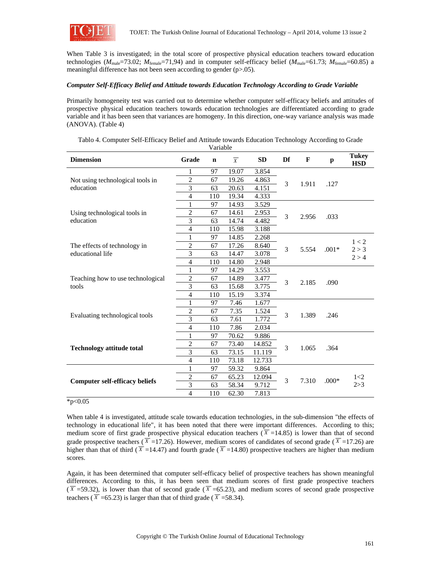

When Table 3 is investigated; in the total score of prospective physical education teachers toward education technologies ( $M_{\text{male}}$ =73.02;  $M_{\text{female}}$ =71,94) and in computer self-efficacy belief ( $M_{\text{male}}$ =61.73;  $M_{\text{female}}$ =60.85) a meaningful difference has not been seen according to gender (p>.05).

### *Computer Self-Efficacy Belief and Attitude towards Education Technology According to Grade Variable*

Primarily homogeneity test was carried out to determine whether computer self-efficacy beliefs and attitudes of prospective physical education teachers towards education technologies are differentiated according to grade variable and it has been seen that variances are homogeny. In this direction, one-way variance analysis was made (ANOVA). (Table 4)

| <b>Dimension</b>                           | Grade          | $\mathbf n$ | $\overline{X}$ | <b>SD</b> | Df | F     | p       | <b>Tukey</b><br><b>HSD</b> |
|--------------------------------------------|----------------|-------------|----------------|-----------|----|-------|---------|----------------------------|
|                                            | 1              | 97          | 19.07          | 3.854     |    |       |         |                            |
| Not using technological tools in           | 2              | 67          | 19.26          | 4.863     | 3  | 1.911 | .127    |                            |
| education                                  | 3              | 63          | 20.63          | 4.151     |    |       |         |                            |
|                                            | 4              | 110         | 19.34          | 4.333     |    |       |         |                            |
|                                            | 1              | 97          | 14.93          | 3.529     |    |       | .033    |                            |
| Using technological tools in               | $\overline{2}$ | 67          | 14.61          | 2.953     | 3  | 2.956 |         |                            |
| education                                  | 3              | 63          | 14.74          | 4.482     |    |       |         |                            |
|                                            | 4              | 110         | 15.98          | 3.188     |    |       |         |                            |
|                                            | 1              | 97          | 14.85          | 2.268     |    |       |         |                            |
| The effects of technology in               | $\overline{2}$ | 67          | 17.26          | 8.640     | 3  | 5.554 | $.001*$ | 1 < 2                      |
| educational life                           | 3              | 63          | 14.47          | 3.078     |    |       |         | 2 > 3<br>2 > 4             |
|                                            | $\overline{4}$ | 110         | 14.80          | 2.948     |    |       |         |                            |
| Teaching how to use technological<br>tools | 1              | 97          | 14.29          | 3.553     |    | 2.185 | .090    |                            |
|                                            | $\overline{2}$ | 67          | 14.89          | 3.477     | 3  |       |         |                            |
|                                            | 3              | 63          | 15.68          | 3.775     |    |       |         |                            |
|                                            | 4              | 110         | 15.19          | 3.374     |    |       |         |                            |
|                                            | 1              | 97          | 7.46           | 1.677     |    |       |         |                            |
|                                            | $\overline{2}$ | 67          | 7.35           | 1.524     | 3  |       | .246    |                            |
| Evaluating technological tools             | 3              | 63          | 7.61           | 1.772     |    | 1.389 |         |                            |
|                                            | $\overline{4}$ | 110         | 7.86           | 2.034     |    |       |         |                            |
|                                            | 1              | 97          | 70.62          | 9.886     |    |       |         |                            |
|                                            | $\overline{c}$ | 67          | 73.40          | 14.852    | 3  |       | .364    |                            |
| <b>Technology attitude total</b>           | $\overline{3}$ | 63          | 73.15          | 11.119    |    | 1.065 |         |                            |
|                                            | $\overline{4}$ | 110         | 73.18          | 12.733    |    |       |         |                            |
|                                            | 1              | 97          | 59.32          | 9.864     |    |       |         |                            |
|                                            | $\overline{c}$ | 67          | 65.23          | 12.094    | 3  |       |         | 1<2                        |
| <b>Computer self-efficacy beliefs</b>      | 3              | 63          | 58.34          | 9.712     |    | 7.310 | $.000*$ | 2 > 3                      |
|                                            | $\overline{4}$ | 110         | 62.30          | 7.813     |    |       |         |                            |

Tablo 4. Computer Self-Efficacy Belief and Attitude towards Education Technology According to Grade Variable

#### $*p<0.05$

When table 4 is investigated, attitude scale towards education technologies, in the sub-dimension "the effects of technology in educational life", it has been noted that there were important differences. According to this; medium score of first grade prospective physical education teachers  $(\overline{X} = 14.85)$  is lower than that of second grade prospective teachers ( $\overline{X}$  =17.26). However, medium scores of candidates of second grade ( $\overline{X}$  =17.26) are higher than that of third ( $\overline{X}$  =14.47) and fourth grade ( $\overline{X}$  =14.80) prospective teachers are higher than medium scores.

Again, it has been determined that computer self-efficacy belief of prospective teachers has shown meaningful differences. According to this, it has been seen that medium scores of first grade prospective teachers  $(\overline{X} = 59.32)$ , is lower than that of second grade ( $\overline{X} = 65.23$ ), and medium scores of second grade prospective teachers ( $\overline{X}$  =65.23) is larger than that of third grade ( $\overline{X}$  =58.34).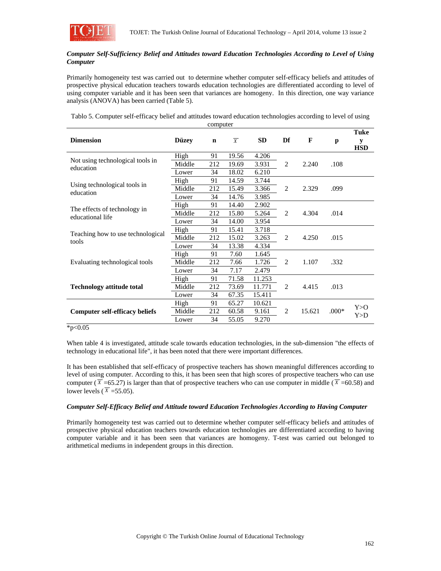

### *Computer Self-Sufficiency Belief and Attitudes toward Education Technologies According to Level of Using Computer*

Primarily homogeneity test was carried out to determine whether computer self-efficacy beliefs and attitudes of prospective physical education teachers towards education technologies are differentiated according to level of using computer variable and it has been seen that variances are homogeny. In this direction, one way variance analysis (ANOVA) has been carried (Table 5).

Tablo 5. Computer self-efficacy belief and attitudes toward education technologies according to level of using computer

|                                                  |              |             |                |           |                |        |         | Tuke            |
|--------------------------------------------------|--------------|-------------|----------------|-----------|----------------|--------|---------|-----------------|
| <b>Dimension</b>                                 | <b>Düzev</b> | $\mathbf n$ | $\overline{X}$ | <b>SD</b> | Df             | F      | p       | y<br><b>HSD</b> |
|                                                  | High         | 91          | 19.56          | 4.206     |                |        |         |                 |
| Not using technological tools in<br>education    | Middle       | 212         | 19.69          | 3.931     | $\overline{2}$ | 2.240  | .108    |                 |
|                                                  | Lower        | 34          | 18.02          | 6.210     |                |        |         |                 |
|                                                  | High         | 91          | 14.59          | 3.744     |                |        |         |                 |
| Using technological tools in<br>education        | Middle       | 212         | 15.49          | 3.366     | 2              | 2.329  | .099    |                 |
|                                                  | Lower        | 34          | 14.76          | 3.985     |                |        |         |                 |
| The effects of technology in<br>educational life | High         | 91          | 14.40          | 2.902     |                |        |         |                 |
|                                                  | Middle       | 212         | 15.80          | 5.264     | 2              | 4.304  | .014    |                 |
|                                                  | Lower        | 34          | 14.00          | 3.954     |                |        |         |                 |
|                                                  | High         | 91          | 15.41          | 3.718     |                |        |         |                 |
| Teaching how to use technological<br>tools       | Middle       | 212         | 15.02          | 3.263     | $\overline{2}$ | 4.250  | .015    |                 |
|                                                  | Lower        | 34          | 13.38          | 4.334     |                |        |         |                 |
|                                                  | High         | 91          | 7.60           | 1.645     |                |        |         |                 |
| Evaluating technological tools                   | Middle       | 212         | 7.66           | 1.726     | 2              | 1.107  | .332    |                 |
|                                                  | Lower        | 34          | 7.17           | 2.479     |                |        |         |                 |
|                                                  | High         | 91          | 71.58          | 11.253    |                |        |         |                 |
| <b>Technology attitude total</b>                 | Middle       | 212         | 73.69          | 11.771    | 2              | 4.415  | .013    |                 |
|                                                  | Lower        | 34          | 67.35          | 15.411    |                |        |         |                 |
|                                                  | High         | 91          | 65.27          | 10.621    |                |        |         | Y > O           |
| <b>Computer self-efficacy beliefs</b>            | Middle       | 212         | 60.58          | 9.161     | $\overline{2}$ | 15.621 | $.000*$ | Y>D             |
|                                                  | Lower        | 34          | 55.05          | 9.270     |                |        |         |                 |

#### $*p<0.05$

When table 4 is investigated, attitude scale towards education technologies, in the sub-dimension "the effects of technology in educational life", it has been noted that there were important differences.

It has been established that self-efficacy of prospective teachers has shown meaningful differences according to level of using computer. According to this, it has been seen that high scores of prospective teachers who can use computer ( $\overline{X}$  =65.27) is larger than that of prospective teachers who can use computer in middle ( $\overline{X}$  =60.58) and lower levels ( $\overline{X}$  =55.05).

### *Computer Self-Efficacy Belief and Attitude toward Education Technologies According to Having Computer*

Primarily homogeneity test was carried out to determine whether computer self-efficacy beliefs and attitudes of prospective physical education teachers towards education technologies are differentiated according to having computer variable and it has been seen that variances are homogeny. T-test was carried out belonged to arithmetical mediums in independent groups in this direction.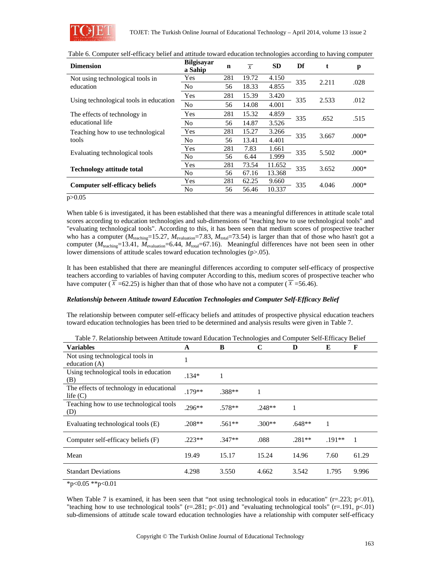

| <b>Dimension</b>                                 | <b>Bilgisayar</b><br>a Sahip | $\mathbf n$ | $\overline{X}$ | <b>SD</b> | Df  | t     | p       |
|--------------------------------------------------|------------------------------|-------------|----------------|-----------|-----|-------|---------|
| Not using technological tools in                 | Yes                          | 281         | 19.72          | 4.150     | 335 | 2.211 | .028    |
| education                                        | N <sub>o</sub>               | 56          | 18.33          | 4.855     |     |       |         |
| Using technological tools in education           | Yes                          | 281         | 15.39          | 3.420     | 335 | 2.533 | .012    |
|                                                  | N <sub>o</sub>               | 56          | 14.08          | 4.001     |     |       |         |
| The effects of technology in<br>educational life | Yes                          | 281         | 15.32          | 4.859     |     | .652  |         |
|                                                  | No                           | 56          | 14.87          | 3.526     | 335 |       | .515    |
| Teaching how to use technological                | Yes                          | 281         | 15.27          | 3.266     | 335 | 3.667 |         |
| tools                                            | No                           | 56          | 13.41          | 4.401     |     |       | $.000*$ |
| Evaluating technological tools                   | Yes                          | 281         | 7.83           | 1.661     | 335 | 5.502 | $.000*$ |
|                                                  | No                           | 56          | 6.44           | 1.999     |     |       |         |
|                                                  | Yes                          | 281         | 73.54          | 11.652    | 335 | 3.652 | $.000*$ |
| <b>Technology attitude total</b>                 | N <sub>o</sub>               | 56          | 67.16          | 13.368    |     |       |         |
|                                                  | Yes                          | 281         | 62.25          | 9.660     |     |       | $.000*$ |
| <b>Computer self-efficacy beliefs</b>            | N <sub>0</sub>               | 56          | 56.46          | 10.337    | 335 | 4.046 |         |
| $\sim$ $\sim$ $\sim$                             |                              |             |                |           |     |       |         |

Table 6. Computer self-efficacy belief and attitude toward education technologies according to having computer

#### p>0.05

When table 6 is investigated, it has been established that there was a meaningful differences in attitude scale total scores according to education technologies and sub-dimensions of "teaching how to use technological tools" and "evaluating technological tools". According to this, it has been seen that medium scores of prospective teacher who has a computer ( $M_{\text{teaching}}$ =15.27,  $M_{\text{evaluation}}$ =7.83,  $M_{\text{total}}$ =73.54) is larger than that of those who hasn't got a computer ( $M_{\text{teaching}}$ =13.41,  $M_{\text{evolution}}$ =6.44,  $M_{\text{total}}$ =67.16). Meaningful differences have not been seen in other lower dimensions of attitude scales toward education technologies (p>.05).

It has been established that there are meaningful differences according to computer self-efficacy of prospective teachers according to variables of having computer According to this, medium scores of prospective teacher who have computer ( $\overline{X}$  =62.25) is higher than that of those who have not a computer ( $\overline{X}$  =56.46).

### *Relationship between Attitude toward Education Technologies and Computer Self-Efficacy Belief*

The relationship between computer self-efficacy beliefs and attitudes of prospective physical education teachers toward education technologies has been tried to be determined and analysis results were given in Table 7.

| <b>Variables</b>                                                                                      | A        | B        | C        | D        | E        | F     |
|-------------------------------------------------------------------------------------------------------|----------|----------|----------|----------|----------|-------|
| Not using technological tools in<br>education $(A)$                                                   | 1        |          |          |          |          |       |
| Using technological tools in education<br>(B)                                                         | $.134*$  | 1        |          |          |          |       |
| The effects of technology in educational<br>life $(C)$                                                | $.179**$ | .388**   | 1        |          |          |       |
| Teaching how to use technological tools<br>(D)                                                        | $.296**$ | .578**   | $.248**$ | 1        |          |       |
| Evaluating technological tools (E)                                                                    | .208**   | $.561**$ | $.300**$ | $.648**$ | 1        |       |
| Computer self-efficacy beliefs (F)                                                                    | $.223**$ | $.347**$ | .088     | $.281**$ | $.191**$ | 1     |
| Mean                                                                                                  | 19.49    | 15.17    | 15.24    | 14.96    | 7.60     | 61.29 |
| <b>Standart Deviations</b>                                                                            | 4.298    | 3.550    | 4.662    | 3.542    | 1.795    | 9.996 |
| $\alpha$ $\alpha$ $=$ $\alpha$ $\alpha$ $\alpha$ $\alpha$ $=$ $\alpha$ $\alpha$ $\alpha$ $=$ $\alpha$ |          |          |          |          |          |       |

Table 7. Relationship between Attitude toward Education Technologies and Computer Self-Efficacy Belief

\*p<0.05 \*\*p<0.01

When Table 7 is examined, it has been seen that "not using technological tools in education" ( $r=223$ ;  $p<01$ ), "teaching how to use technological tools" (r=.281; p<.01) and "evaluating technological tools" (r=.191, p<.01) sub-dimensions of attitude scale toward education technologies have a relationship with computer self-efficacy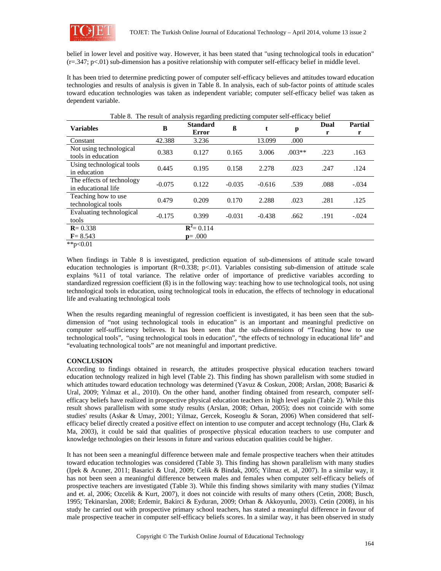

belief in lower level and positive way. However, it has been stated that "using technological tools in education"  $(r=.347; p<.01)$  sub-dimension has a positive relationship with computer self-efficacy belief in middle level.

It has been tried to determine predicting power of computer self-efficacy believes and attitudes toward education technologies and results of analysis is given in Table 8. In analysis, each of sub-factor points of attitude scales toward education technologies was taken as independent variable; computer self-efficacy belief was taken as dependent variable.

| <b>Variables</b>                                 | В        | <b>Standard</b><br><b>Error</b> | ß        | t        | p        | Dual<br>r | <b>Partial</b><br>r |
|--------------------------------------------------|----------|---------------------------------|----------|----------|----------|-----------|---------------------|
| Constant                                         | 42.388   | 3.236                           |          | 13.099   | .000     |           |                     |
| Not using technological<br>tools in education    | 0.383    | 0.127                           | 0.165    | 3.006    | $.003**$ | .223      | .163                |
| Using technological tools<br>in education        | 0.445    | 0.195                           | 0.158    | 2.278    | .023     | .247      | .124                |
| The effects of technology<br>in educational life | $-0.075$ | 0.122                           | $-0.035$ | $-0.616$ | .539     | .088      | $-.034$             |
| Teaching how to use<br>technological tools       | 0.479    | 0.209                           | 0.170    | 2.288    | .023     | .281      | .125                |
| Evaluating technological<br>tools                | $-0.175$ | 0.399                           | $-0.031$ | $-0.438$ | .662     | .191      | $-.024$             |
| $R = 0.338$                                      |          | ${\bf R}^2$ = 0.114             |          |          |          |           |                     |
| $F = 8.543$                                      |          | $p = .000$                      |          |          |          |           |                     |

Table 8. The result of analysis regarding predicting computer self-efficacy belief

\*\*p< $0.01$ 

When findings in Table 8 is investigated, prediction equation of sub-dimensions of attitude scale toward education technologies is important  $(R=0.338; p<.01)$ . Variables consisting sub-dimension of attitude scale explains %11 of total variance. The relative order of importance of predictive variables according to standardized regression coefficient (ß) is in the following way: teaching how to use technological tools, not using technological tools in education, using technological tools in education, the effects of technology in educational life and evaluating technological tools

When the results regarding meaningful of regression coefficient is investigated, it has been seen that the subdimension of "not using technological tools in education" is an important and meaningful predictive on computer self-sufficiency believes. It has been seen that the sub-dimensions of "Teaching how to use technological tools", "using technological tools in education", "the effects of technology in educational life" and "evaluating technological tools" are not meaningful and important predictive.

# **CONCLUSION**

According to findings obtained in research, the attitudes prospective physical education teachers toward education technology realized in high level (Table 2). This finding has shown parallelism with some studied in which attitudes toward education technology was determined (Yavuz & Coskun, 2008; Arslan, 2008; Basarici & Ural, 2009; Yılmaz et al., 2010). On the other hand, another finding obtained from research, computer selfefficacy beliefs have realized in prospective physical education teachers in high level again (Table 2). While this result shows parallelism with some study results (Arslan, 2008; Orhan, 2005); does not coincide with some studies' results (Askar & Umay, 2001; Yilmaz, Gercek, Koseoglu & Soran, 2006) When considered that selfefficacy belief directly created a positive effect on intention to use computer and accept technology (Hu, Clark & Ma, 2003), it could be said that qualities of prospective physical education teachers to use computer and knowledge technologies on their lessons in future and various education qualities could be higher.

It has not been seen a meaningful difference between male and female prospective teachers when their attitudes toward education technologies was considered (Table 3). This finding has shown parallelism with many studies (Ipek & Acuner, 2011; Basarici & Ural, 2009; Celik & Bindak, 2005; Yilmaz et. al, 2007). In a similar way, it has not been seen a meaningful difference between males and females when computer self-efficacy beliefs of prospective teachers are investigated (Table 3). While this finding shows similarity with many studies (Yilmaz and et. al, 2006; Ozcelik & Kurt, 2007), it does not coincide with results of many others (Cetin, 2008; Busch, 1995; Tekinarslan, 2008; Erdemir, Bakirci & Eyduran, 2009; Orhan & Akkoyunlu, 2003). Cetin (2008), in his study he carried out with prospective primary school teachers, has stated a meaningful difference in favour of male prospective teacher in computer self-efficacy beliefs scores. In a similar way, it has been observed in study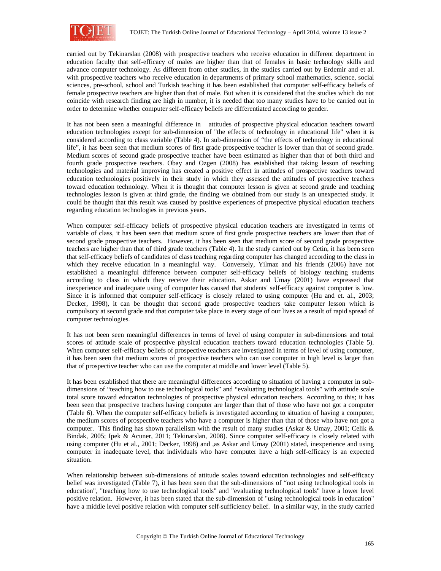

carried out by Tekinarslan (2008) with prospective teachers who receive education in different department in education faculty that self-efficacy of males are higher than that of females in basic technology skills and advance computer technology. As different from other studies, in the studies carried out by Erdemir and et al. with prospective teachers who receive education in departments of primary school mathematics, science, social sciences, pre-school, school and Turkish teaching it has been established that computer self-efficacy beliefs of female prospective teachers are higher than that of male. But when it is considered that the studies which do not coincide with research finding are high in number, it is needed that too many studies have to be carried out in order to determine whether computer self-efficacy beliefs are differentiated according to gender.

It has not been seen a meaningful difference in attitudes of prospective physical education teachers toward education technologies except for sub-dimension of "the effects of technology in educational life" when it is considered according to class variable (Table 4). In sub-dimension of "the effects of technology in educational life", it has been seen that medium scores of first grade prospective teacher is lower than that of second grade. Medium scores of second grade prospective teacher have been estimated as higher than that of both third and fourth grade prospective teachers. Obay and Ozgen (2008) has established that taking lesson of teaching technologies and material improving has created a positive effect in attitudes of prospective teachers toward education technologies positively in their study in which they assessed the attitudes of prospective teachers toward education technology. When it is thought that computer lesson is given at second grade and teaching technologies lesson is given at third grade, the finding we obtained from our study is an unexpected study. It could be thought that this result was caused by positive experiences of prospective physical education teachers regarding education technologies in previous years.

When computer self-efficacy beliefs of prospective physical education teachers are investigated in terms of variable of class, it has been seen that medium score of first grade prospective teachers are lower than that of second grade prospective teachers. However, it has been seen that medium score of second grade prospective teachers are higher than that of third grade teachers (Table 4). In the study carried out by Cetin, it has been seen that self-efficacy beliefs of candidates of class teaching regarding computer has changed according to the class in which they receive education in a meaningful way. Conversely, Yilmaz and his friends (2006) have not established a meaningful difference between computer self-efficacy beliefs of biology teaching students according to class in which they receive their education. Askar and Umay (2001) have expressed that inexperience and inadequate using of computer has caused that students' self-efficacy against computer is low. Since it is informed that computer self-efficacy is closely related to using computer (Hu and et. al., 2003; Decker, 1998), it can be thought that second grade prospective teachers take computer lesson which is compulsory at second grade and that computer take place in every stage of our lives as a result of rapid spread of computer technologies.

It has not been seen meaningful differences in terms of level of using computer in sub-dimensions and total scores of attitude scale of prospective physical education teachers toward education technologies (Table 5). When computer self-efficacy beliefs of prospective teachers are investigated in terms of level of using computer, it has been seen that medium scores of prospective teachers who can use computer in high level is larger than that of prospective teacher who can use the computer at middle and lower level (Table 5).

It has been established that there are meaningful differences according to situation of having a computer in subdimensions of "teaching how to use technological tools" and "evaluating technological tools" with attitude scale total score toward education technologies of prospective physical education teachers. According to this; it has been seen that prospective teachers having computer are larger than that of those who have not got a computer (Table 6). When the computer self-efficacy beliefs is investigated according to situation of having a computer, the medium scores of prospective teachers who have a computer is higher than that of those who have not got a computer. This finding has shown parallelism with the result of many studies (Askar & Umay, 2001; Celik & Bindak, 2005; Ipek & Acuner, 2011; Tekinarslan, 2008). Since computer self-efficacy is closely related with using computer (Hu et al., 2001; Decker, 1998) and ,as Askar and Umay (2001) stated, inexperience and using computer in inadequate level, that individuals who have computer have a high self-efficacy is an expected situation.

When relationship between sub-dimensions of attitude scales toward education technologies and self-efficacy belief was investigated (Table 7), it has been seen that the sub-dimensions of "not using technological tools in education", "teaching how to use technological tools" and "evaluating technological tools" have a lower level positive relation. However, it has been stated that the sub-dimension of "using technological tools in education" have a middle level positive relation with computer self-sufficiency belief. In a similar way, in the study carried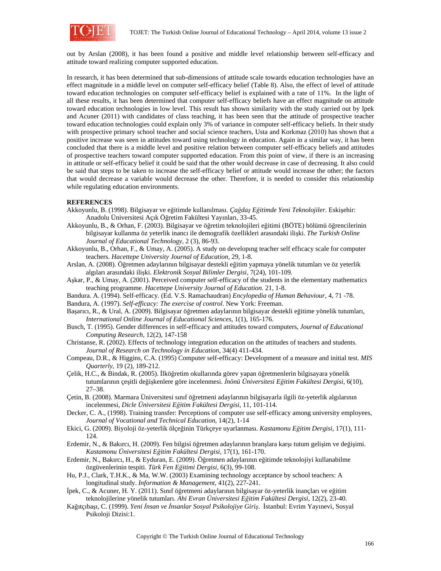

out by Arslan (2008), it has been found a positive and middle level relationship between self-efficacy and attitude toward realizing computer supported education.

In research, it has been determined that sub-dimensions of attitude scale towards education technologies have an effect magnitude in a middle level on computer self-efficacy belief (Table 8). Also, the effect of level of attitude toward education technologies on computer self-efficacy belief is explained with a rate of 11%. In the light of all these results, it has been determined that computer self-efficacy beliefs have an effect magnitude on attitude toward education technologies in low level. This result has shown similarity with the study carried out by Ipek and Acuner (2011) with candidates of class teaching, it has been seen that the attitude of prospective teacher toward education technologies could explain only 3% of variance in computer self-efficacy beliefs. In their study with prospective primary school teacher and social science teachers, Usta and Korkmaz (2010) has shown that a positive increase was seen in attitudes toward using technology in education. Again in a similar way, it has been concluded that there is a middle level and positive relation between computer self-efficacy beliefs and attitudes of prospective teachers toward computer supported education. From this point of view, if there is an increasing in attitude or self-efficacy belief it could be said that the other would decrease in case of decreasing. It also could be said that steps to be taken to increase the self-efficacy belief or attitude would increase the other; the factors that would decrease a variable would decrease the other. Therefore, it is needed to consider this relationship while regulating education environments.

#### **REFERENCES**

- Akkoyunlu, B. (1998). Bilgisayar ve eğitimde kullanılması. *Çağdaş Eğitimde Yeni Teknolojiler.* Eskişehir: Anadolu Üniversitesi Açık Öğretim Fakültesi Yayınları, 33-45.
- Akkoyunlu, B., & Orhan, F. (2003). Bilgisayar ve öğretim teknolojileri eğitimi (BÖTE) bölümü öğrencilerinin bilgisayar kullanma öz yeterlik inancı ile demografik özellikleri arasındaki ilişki. *The Turkish Online Journal of Educational Technology*, 2 (3), 86-93.
- Akkoyunlu, B., Orhan, F., & Umay, A. (2005). A study on developıng teacher self effıcacy scale for computer teachers. *Hacettepe University Journal of Education,* 29, 1-8.
- Arslan, A. (2008). Öğretmen adaylarının bilgisayar destekli eğitim yapmaya yönelik tutumları ve öz yeterlik algıları arasındaki ilişki. *Elektronik Sosyal Bilimler Dergisi*, 7(24), 101-109.
- Aşkar, P., & Umay, A. (2001). Perceived computer self-efficacy of the students in the elementary mathematics teaching programme. *Hacettepe University Journal of Education.* 21, 1-8.
- Bandura. A. (1994). Self-efficacy*.* (Ed. V.S. Ramachaudran) *Encylopedia of Human Behaviour,* 4, 71 -78.
- Bandura, A. (1997). *Self-efficacy: The exercise of control*. New York: Freeman.
- Başarıcı, R., & Ural, A. (2009). Bilgisayar öğretmen adaylarının bilgisayar destekli eğitime yönelik tutumları, *International Online Journal of Educational Sciences*, 1(1), 165-176.
- Busch, T. (1995). Gender differences in self-efficacy and attitudes toward computers, *Journal of Educational Computing Research,* 12(2), 147-158
- Christanse, R. (2002). Effects of technology integration education on the attitudes of teachers and students. *Journal of Research on Technology in Education*, 34(4) 411-434.
- Compeau, D.R., & Higgins, C.A. (1995) Computer self-efficacy: Development of a measure and initial test. *MIS Quarterly*, 19 (2), 189-212.
- Çelik, H.C., & Bindak, R. (2005). İlköğretim okullarında görev yapan öğretmenlerin bilgisayara yönelik tutumlarının çeşitli değişkenlere göre incelenmesi. *İnönü Üniversitesi Eğitim Fakültesi Dergisi*, 6(10), 27–38.
- Çetin, B. (2008). Marmara Üniversitesi sınıf öğretmeni adaylarının bilgisayarla ilgili öz-yeterlik algılarının incelenmesi, *Dicle Üniversitesi Eğitim Fakültesi Dergisi*, 11, 101-114.
- Decker, C. A., (1998). Training transfer: Perceptions of computer use self-efficacy among university employees, *Journal of Vocational and Technical Education*, 14(2), 1-14
- Ekici, G. (2009). Biyoloji öz-yeterlik ölçeğinin Türkçeye uyarlanması. *Kastamonu Eğitim Dergisi*, 17(1), 111- 124.
- Erdemir, N., & Bakırcı, H. (2009). Fen bilgisi öğretmen adaylarının branşlara karşı tutum gelişim ve değişimi. *Kastamonu Üniversitesi Eğitim Fakültesi Dergisi,* 17(1), 161-170.
- Erdemir, N., Bakırcı, H., & Eyduran, E. (2009). Öğretmen adaylarının eğitimde teknolojiyi kullanabilme özgüvenlerinin tespiti. *Türk Fen Eğitimi Dergisi,* 6(3), 99-108.
- Hu, P.J., Clark, T.H.K., & Ma, W.W. (2003) Examining technology acceptance by school teachers: A longitudinal study. *Information & Management*, 41(2), 227-241.
- İpek, C., & Acuner, H. Y. (2011). Sınıf öğretmeni adaylarının bilgisayar öz-yeterlik inançları ve eğitim teknolojilerine yönelik tutumları*. Ahi Evran Üniversitesi Eğitim Fakültesi Dergisi*, 12(2), 23-40.
- Kağıtçıbaşı, C. (1999). *Yeni İnsan ve İnsanlar Sosyal Psikolojiye Giriş*. İstanbul: Evrim Yayınevi, Sosyal Psikoloji Dizisi:1.